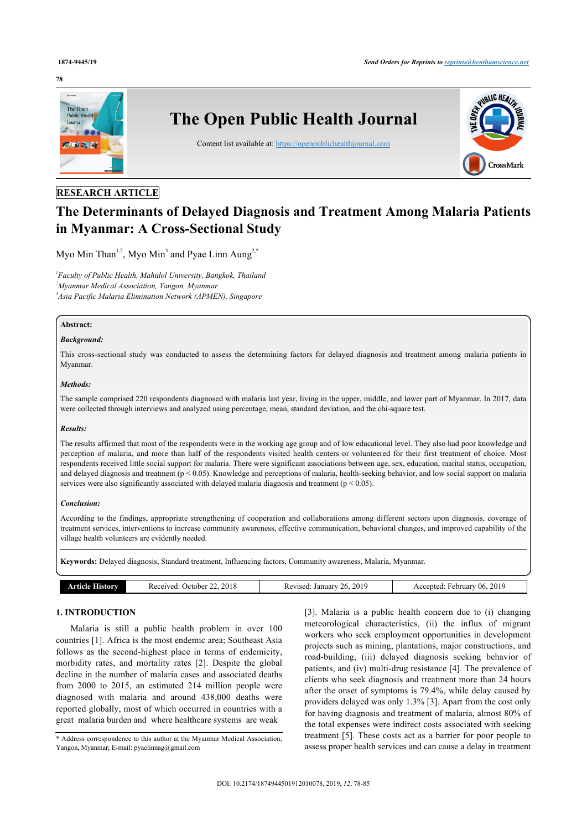#### **78**



# **RESEARCH ARTICLE**

# **The Determinants of Delayed Diagnosis and Treatment Among Malaria Patients in Myanmar: A Cross-Sectional Study**

Myo Min Than<sup>[1,](#page-0-0)[2](#page-0-1)</sup>, Myo Min<sup>[3](#page-0-2)</sup> and Pyae Linn Aung<sup>2,[\\*](#page-0-3)</sup>

<span id="page-0-2"></span><span id="page-0-1"></span><span id="page-0-0"></span>*1 Faculty of Public Health, Mahidol University, Bangkok, Thailand <sup>2</sup>Myanmar Medical Association, Yangon, Myanmar 3 Asia Pacific Malaria Elimination Network (APMEN), Singapore*

# **Abstract:**

# *Background:*

This cross-sectional study was conducted to assess the determining factors for delayed diagnosis and treatment among malaria patients in Myanmar.

#### *Methods:*

The sample comprised 220 respondents diagnosed with malaria last year, living in the upper, middle, and lower part of Myanmar. In 2017, data were collected through interviews and analyzed using percentage, mean, standard deviation, and the chi-square test.

# *Results:*

The results affirmed that most of the respondents were in the working age group and of low educational level. They also had poor knowledge and perception of malaria, and more than half of the respondents visited health centers or volunteered for their first treatment of choice. Most respondents received little social support for malaria. There were significant associations between age, sex, education, marital status, occupation, and delayed diagnosis and treatment ( $p < 0.05$ ). Knowledge and perceptions of malaria, health-seeking behavior, and low social support on malaria services were also significantly associated with delayed malaria diagnosis and treatment ( $p < 0.05$ ).

### *Conclusion:*

According to the findings, appropriate strengthening of cooperation and collaborations among different sectors upon diagnosis, coverage of treatment services, interventions to increase community awareness, effective communication, behavioral changes, and improved capability of the village health volunteers are evidently needed.

**Keywords:** Delayed diagnosis, Standard treatment, Influencing factors, Community awareness, Malaria, Myanmar.

|  | Article I<br>istorv | 2018<br>Received.<br>October | 2019<br>26.<br>Revised.<br>January | 2019<br>Februarv 06.<br>Accepted |
|--|---------------------|------------------------------|------------------------------------|----------------------------------|
|--|---------------------|------------------------------|------------------------------------|----------------------------------|

# **1. INTRODUCTION**

Malaria is still a public health problem in over 100 countries [[1\]](#page-7-0). Africa is the most endemic area; Southeast Asia follows as the second-highest place in terms of endemicity, morbidity rates, and mortality rates [\[2\]](#page-7-1). Despite the global decline in the number of malaria cases and associated deaths from 2000 to 2015, an estimated 214 million people were diagnosed with malaria and around 438,000 deaths were reported globally, most of which occurred in countries with a great malaria burden and where healthcare systems are weak

<span id="page-0-3"></span>\* Address correspondence to this author at the Myanmar Medical Association, Yangon, Myanmar; E-mail: [pyaelinnag@gmail.com](mailto:pyaelinnag@gmail.com)

[[3\]](#page-7-2). Malaria is a public health concern due to (i) changing meteorological characteristics, (ii) the influx of migrant workers who seek employment opportunities in development projects such as mining, plantations, major constructions, and road-building, (iii) delayed diagnosis seeking behavior of patients, and (iv) multi-drug resistance [[4](#page-7-3)]. The prevalence of clients who seek diagnosis and treatment more than 24 hours after the onset of symptoms is 79.4%, while delay caused by providers delayed was only 1.3% [\[3\]](#page-7-2). Apart from the cost only for having diagnosis and treatment of malaria, almost 80% of the total expenses were indirect costs associated with seeking treatment [[5\]](#page-7-4). These costs act as a barrier for poor people to assess proper health services and can cause a delay in treatment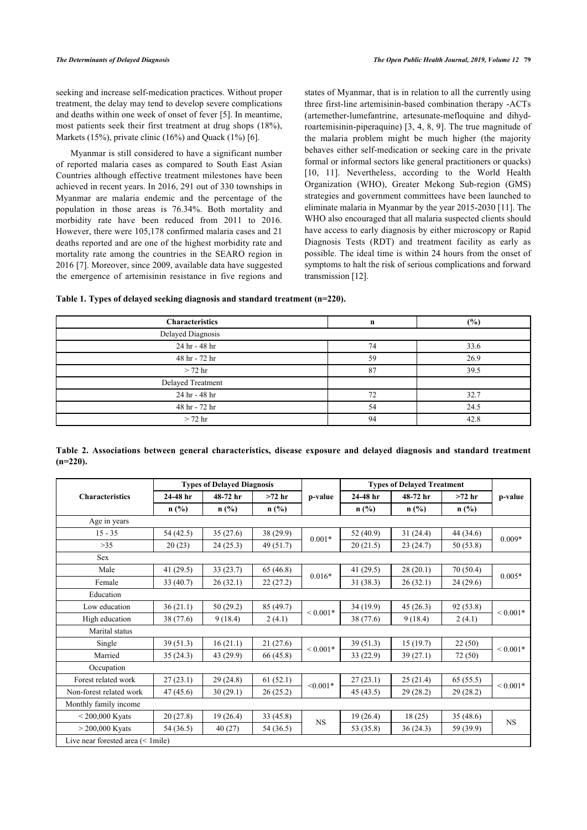seeking and increase self-medication practices. Without proper treatment, the delay may tend to develop severe complications and deaths within one week of onset of fever [[5\]](#page-7-4). In meantime, most patients seek their first treatment at drug shops (18%), Markets (15%), private clinic (1[6](#page-7-5)%) and Quack (1%) [6].

Myanmar is still considered to have a significant number of reported malaria cases as compared to South East Asian Countries although effective treatment milestones have been achieved in recent years. In 2016, 291 out of 330 townships in Myanmar are malaria endemic and the percentage of the population in those areas is 76.34%. Both mortality and morbidity rate have been reduced from 2011 to 2016. However, there were 105,178 confirmed malaria cases and 21 deaths reported and are one of the highest morbidity rate and mortality rate among the countries in the SEARO region in 2016 [\[7\]](#page-7-6). Moreover, since 2009, available data have suggested the emergence of artemisinin resistance in five regions and states of Myanmar, that is in relation to all the currently using three first-line artemisinin-based combination therapy -ACTs (artemether-lumefantrine, artesunate-mefloquine and dihydroartemisinin-piperaquine) [[3](#page-7-2), [4](#page-7-3), [8,](#page-7-7) [9](#page-7-8)]. The true magnitude of the malaria problem might be much higher (the majority behaves either self-medication or seeking care in the private formal or informal sectors like general practitioners or quacks) [[10](#page-7-9), [11\]](#page-7-10). Nevertheless, according to the World Health Organization (WHO), Greater Mekong Sub-region (GMS) strategies and government committees have been launched to eliminate malaria in Myanmar by the year 2015-2030 [[11\]](#page-7-10). The WHO also encouraged that all malaria suspected clients should have access to early diagnosis by either microscopy or Rapid Diagnosis Tests (RDT) and treatment facility as early as possible. The ideal time is within 24 hours from the onset of symptoms to halt the risk of serious complications and forward transmission [[12\]](#page-7-11).

<span id="page-1-0"></span>

| <b>Characteristics</b> | n  | $(\%)$ |
|------------------------|----|--------|
| Delayed Diagnosis      |    |        |
| 24 hr - 48 hr          | 74 | 33.6   |
| 48 hr - 72 hr          | 59 | 26.9   |
| $>$ 72 hr              | 87 | 39.5   |
| Delayed Treatment      |    |        |
| 24 hr - 48 hr          | 72 | 32.7   |
| 48 hr - 72 hr          | 54 | 24.5   |
| $> 72$ hr              | 94 | 42.8   |

<span id="page-1-1"></span>

|             |  | Table 2. Associations between general characteristics, disease exposure and delayed diagnosis and standard treatment |  |  |  |  |
|-------------|--|----------------------------------------------------------------------------------------------------------------------|--|--|--|--|
| $(n=220)$ . |  |                                                                                                                      |  |  |  |  |

|                                      |             | <b>Types of Delayed Diagnosis</b> |           |              | <b>Types of Delayed Treatment</b> |           |           |               |
|--------------------------------------|-------------|-----------------------------------|-----------|--------------|-----------------------------------|-----------|-----------|---------------|
| <b>Characteristics</b>               | 24-48 hr    | 48-72 hr                          | $>72$ hr  | p-value      | 24-48 hr                          | 48-72 hr  | $>72$ hr  | p-value       |
|                                      | $n$ (%)     | $n$ (%)                           | $n$ (%)   |              | $n$ (%)                           | $n$ (%)   | $n$ (%)   |               |
| Age in years                         |             |                                   |           |              |                                   |           |           |               |
| $15 - 35$                            | 54 (42.5)   | 35(27.6)                          | 38 (29.9) | $0.001*$     | 52 $(40.9)$                       | 31(24.4)  | 44(34.6)  | $0.009*$      |
| $>35$                                | 20(23)      | 24(25.3)                          | 49 (51.7) |              | 20(21.5)                          | 23(24.7)  | 50(53.8)  |               |
| Sex                                  |             |                                   |           |              |                                   |           |           |               |
| Male                                 | 41 $(29.5)$ | 33(23.7)                          | 65(46.8)  | $0.016*$     | 41 $(29.5)$                       | 28(20.1)  | 70(50.4)  |               |
| Female                               | 33(40.7)    | 26(32.1)                          | 22(27.2)  |              | 31(38.3)                          | 26(32.1)  | 24(29.6)  | $0.005*$      |
| Education                            |             |                                   |           |              |                                   |           |           |               |
| Low education                        | 36(21.1)    | 50(29.2)                          | 85(49.7)  | ${}< 0.001*$ | 34(19.9)                          | 45(26.3)  | 92(53.8)  | ${}< 0.001*$  |
| High education                       | 38 (77.6)   | 9(18.4)                           | 2(4.1)    |              | 38 (77.6)                         | 9(18.4)   | 2(4.1)    |               |
| Marital status                       |             |                                   |           |              |                                   |           |           |               |
| Single                               | 39(51.3)    | 16(21.1)                          | 21(27.6)  | ${}< 0.001*$ | 39(51.3)                          | 15(19.7)  | 22(50)    | ${}_{0.001*}$ |
| Married                              | 35(24.3)    | 43 (29.9)                         | 66 (45.8) |              | 33 (22.9)                         | 39(27.1)  | 72 (50)   |               |
| Occupation                           |             |                                   |           |              |                                   |           |           |               |
| Forest related work                  | 27(23.1)    | 29(24.8)                          | 61(52.1)  | $< 0.001*$   | 27(23.1)                          | 25(21.4)  | 65(55.5)  | ${}< 0.001*$  |
| Non-forest related work              | 47(45.6)    | 30(29.1)                          | 26(25.2)  |              | 45 (43.5)                         | 29 (28.2) | 29 (28.2) |               |
| Monthly family income                |             |                                   |           |              |                                   |           |           |               |
| $< 200,000$ Kyats                    | 20(27.8)    | 19(26.4)                          | 33(45.8)  |              | 19(26.4)                          | 18(25)    | 35 (48.6) |               |
| $> 200,000$ Kyats                    | 54 (36.5)   | 40(27)                            | 54 (36.5) | <b>NS</b>    | 53 (35.8)                         | 36(24.3)  | 59 (39.9) | <b>NS</b>     |
| Live near forested area $(< 1$ mile) |             |                                   |           |              |                                   |           |           |               |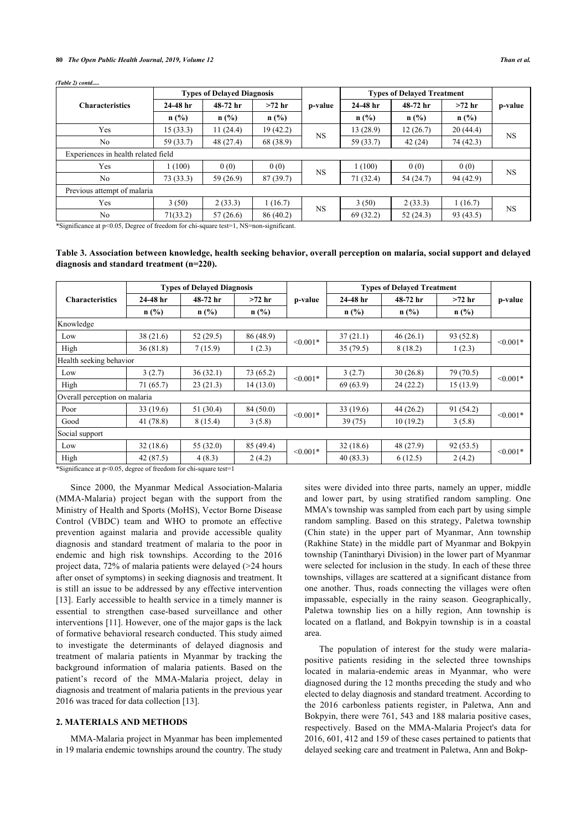#### **80** *The Open Public Health Journal, 2019, Volume 12 Than et al.*

|                                     |            | <b>Types of Delayed Diagnosis</b> |           |           | <b>Types of Delayed Treatment</b> |           |           |           |  |
|-------------------------------------|------------|-----------------------------------|-----------|-----------|-----------------------------------|-----------|-----------|-----------|--|
| <b>Characteristics</b>              | $24-48$ hr | 48-72 hr                          | $>72$ hr  | p-value   | 24-48 hr                          | 48-72 hr  | $>72$ hr  | p-value   |  |
|                                     | $n$ (%)    | $n$ (%)                           | n(%)      |           | $n$ (%)                           | $n$ (%)   | $n$ (%)   |           |  |
| Yes                                 | 15(33.3)   | 11(24.4)                          | 19 (42.2) |           | 13 (28.9)                         | 12(26.7)  | 20(44.4)  | <b>NS</b> |  |
| N <sub>o</sub>                      | 59 (33.7)  | 48 (27.4)                         | 68 (38.9) | <b>NS</b> | 59 (33.7)                         | 42(24)    | 74 (42.3) |           |  |
| Experiences in health related field |            |                                   |           |           |                                   |           |           |           |  |
| Yes                                 | 1(100)     | 0(0)                              | 0(0)      | <b>NS</b> | 1(100)                            | 0(0)      | 0(0)      |           |  |
| N <sub>o</sub>                      | 73(33.3)   | 59 (26.9)                         | 87(39.7)  |           | 71 (32.4)                         | 54 (24.7) | 94 (42.9) | <b>NS</b> |  |
| Previous attempt of malaria         |            |                                   |           |           |                                   |           |           |           |  |
| Yes                                 | 3(50)      | 2(33.3)                           | 1(16.7)   | <b>NS</b> | 3(50)                             | 2(33.3)   | 1(16.7)   | <b>NS</b> |  |
| No.                                 | 71(33.2)   | 57(26.6)                          | 86(40.2)  |           | 69 (32.2)                         | 52(24.3)  | 93 (43.5) |           |  |

*(Table 2) contd.....*

\*Significance at p<0.05, Degree of freedom for chi-square test=1, NS=non-significant.

<span id="page-2-0"></span>**Table 3. Association between knowledge, health seeking behavior, overall perception on malaria, social support and delayed diagnosis and standard treatment (n=220).**

|                                            |            | <b>Types of Delayed Diagnosis</b> |                     |            | <b>Types of Delayed Treatment</b> |           |           |            |
|--------------------------------------------|------------|-----------------------------------|---------------------|------------|-----------------------------------|-----------|-----------|------------|
| <b>Characteristics</b>                     | $24-48$ hr | 48-72 hr                          | $>72$ hr<br>p-value |            | $24-48$ hr                        | 48-72 hr  | $>72$ hr  | p-value    |
|                                            | n(%)       | $n$ (%)                           | $n$ (%)             |            | $n$ (%)                           | $n$ (%)   | $n$ (%)   |            |
| Knowledge                                  |            |                                   |                     |            |                                   |           |           |            |
| Low                                        | 38(21.6)   | 52(29.5)                          | 86 (48.9)           | $< 0.001*$ | 37(21.1)                          | 46(26.1)  | 93 (52.8) | $< 0.001*$ |
| High                                       | 36(81.8)   | 7(15.9)                           | 1(2.3)              |            | 35(79.5)                          | 8(18.2)   | 1(2.3)    |            |
| Health seeking behavior                    |            |                                   |                     |            |                                   |           |           |            |
| Low                                        | 3(2.7)     | 36(32.1)                          | 73 (65.2)           | $< 0.001*$ | 3(2.7)                            | 30(26.8)  | 79 (70.5) | $< 0.001*$ |
| High                                       | 71 (65.7)  | 23(21.3)                          | 14(13.0)            |            | 69(63.9)                          | 24(22.2)  | 15(13.9)  |            |
| Overall perception on malaria              |            |                                   |                     |            |                                   |           |           |            |
| Poor                                       | 33(19.6)   | 51(30.4)                          | 84 (50.0)           | $< 0.001*$ | 33(19.6)                          | 44(26.2)  | 91 (54.2) | $< 0.001*$ |
| Good                                       | 41(78.8)   | 8(15.4)                           | 3(5.8)              |            | 39 (75)                           | 10(19.2)  | 3(5.8)    |            |
| Social support                             |            |                                   |                     |            |                                   |           |           |            |
| Low                                        | 32(18.6)   | 55 $(32.0)$                       | 85 (49.4)           | $< 0.001*$ | 32(18.6)                          | 48 (27.9) | 92(53.5)  |            |
| High                                       | 42(87.5)   | 4(8.3)                            | 2(4.2)              |            | 40(83.3)                          | 6(12.5)   | 2(4.2)    | $< 0.001*$ |
| $+0$ $\sim$ $-0.051$ $0$ $1$ $0.1$ $1$ $1$ |            |                                   |                     |            |                                   |           |           |            |

\*Significance at p<0.05, degree of freedom for chi-square test=1

Since 2000, the Myanmar Medical Association-Malaria (MMA-Malaria) project began with the support from the Ministry of Health and Sports (MoHS), Vector Borne Disease Control (VBDC) team and WHO to promote an effective prevention against malaria and provide accessible quality diagnosis and standard treatment of malaria to the poor in endemic and high risk townships. According to the 2016 project data, 72% of malaria patients were delayed (>24 hours after onset of symptoms) in seeking diagnosis and treatment. It is still an issue to be addressed by any effective intervention [[13\]](#page-7-12). Early accessible to health service in a timely manner is essential to strengthen case-based surveillance and other interventions [\[11](#page-7-10)]. However, one of the major gaps is the lack of formative behavioral research conducted. This study aimed to investigate the determinants of delayed diagnosis and treatment of malaria patients in Myanmar by tracking the background information of malaria patients. Based on the patient's record of the MMA-Malaria project, delay in diagnosis and treatment of malaria patients in the previous year 2016 was traced for data collection [\[13](#page-7-12)].

# **2. MATERIALS AND METHODS**

MMA-Malaria project in Myanmar has been implemented in 19 malaria endemic townships around the country. The study sites were divided into three parts, namely an upper, middle and lower part, by using stratified random sampling. One MMA's township was sampled from each part by using simple random sampling. Based on this strategy, Paletwa township (Chin state) in the upper part of Myanmar, Ann township (Rakhine State) in the middle part of Myanmar and Bokpyin township (Tanintharyi Division) in the lower part of Myanmar were selected for inclusion in the study. In each of these three townships, villages are scattered at a significant distance from one another. Thus, roads connecting the villages were often impassable, especially in the rainy season. Geographically, Paletwa township lies on a hilly region, Ann township is located on a flatland, and Bokpyin township is in a coastal area.

The population of interest for the study were malariapositive patients residing in the selected three townships located in malaria-endemic areas in Myanmar, who were diagnosed during the 12 months preceding the study and who elected to delay diagnosis and standard treatment. According to the 2016 carbonless patients register, in Paletwa, Ann and Bokpyin, there were 761, 543 and 188 malaria positive cases, respectively. Based on the MMA-Malaria Project's data for 2016, 601, 412 and 159 of these cases pertained to patients that delayed seeking care and treatment in Paletwa, Ann and Bokp-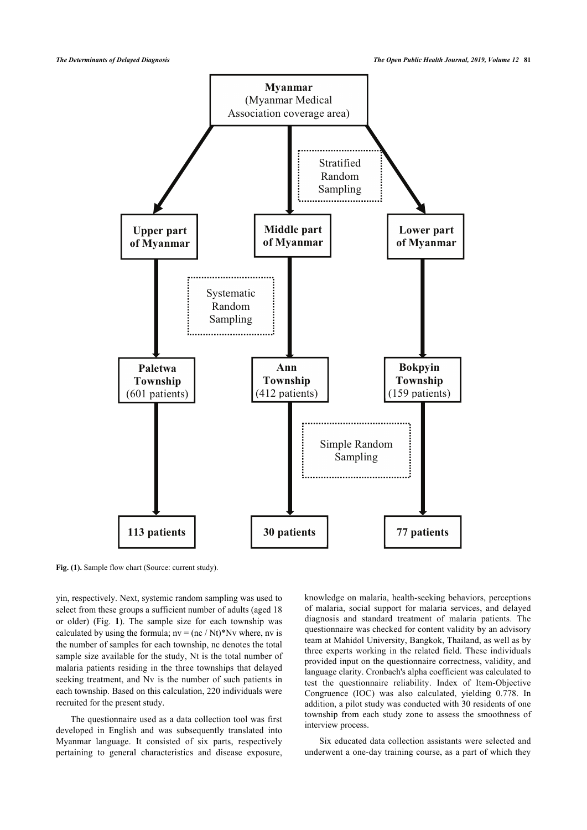<span id="page-3-0"></span>

Fig. (1). Sample flow chart (Source: current study).

yin, respectively. Next, systemic random sampling was used to select from these groups a sufficient number of adults (aged 18 or older) (Fig.**1**). The sample size for each township was calculated by using the formula;  $nv = (nc / Nt) * Nv$  where, nv is the number of samples for each township, nc denotes the total sample size available for the study, Nt is the total number of malaria patients residing in the three townships that delayed seeking treatment, and Nv is the number of such patients in each township. Based on this calculation, 220 individuals were recruited for the present study.

The questionnaire used as a data collection tool was first developed in English and was subsequently translated into Myanmar language. It consisted of six parts, respectively pertaining to general characteristics and disease exposure,

knowledge on malaria, health-seeking behaviors, perceptions of malaria, social support for malaria services, and delayed diagnosis and standard treatment of malaria patients. The questionnaire was checked for content validity by an advisory team at Mahidol University, Bangkok, Thailand, as well as by three experts working in the related field. These individuals provided input on the questionnaire correctness, validity, and language clarity. Cronbach's alpha coefficient was calculated to test the questionnaire reliability. Index of Item-Objective Congruence (IOC) was also calculated, yielding 0.778. In addition, a pilot study was conducted with 30 residents of one township from each study zone to assess the smoothness of interview process.

Six educated data collection assistants were selected and underwent a one-day training course, as a part of which they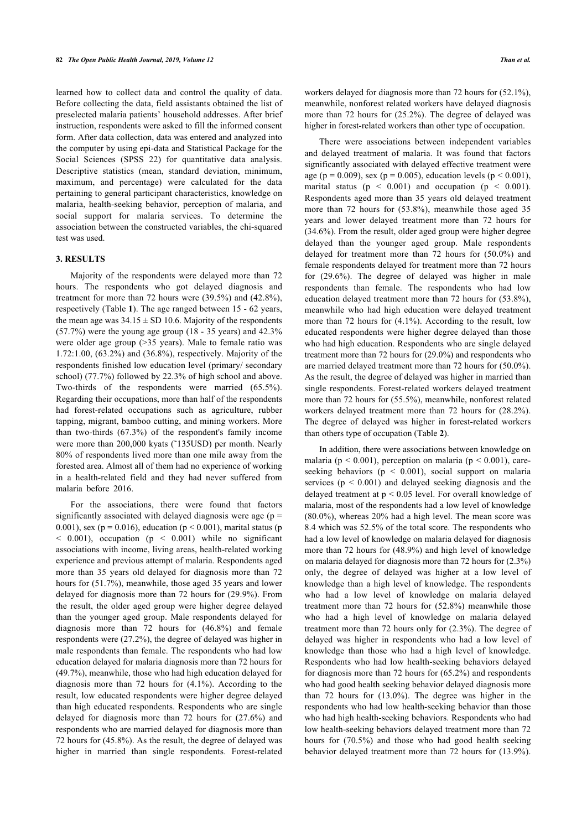learned how to collect data and control the quality of data. Before collecting the data, field assistants obtained the list of preselected malaria patients' household addresses. After brief instruction, respondents were asked to fill the informed consent form. After data collection, data was entered and analyzed into the computer by using epi-data and Statistical Package for the Social Sciences (SPSS 22) for quantitative data analysis. Descriptive statistics (mean, standard deviation, minimum, maximum, and percentage) were calculated for the data pertaining to general participant characteristics, knowledge on malaria, health-seeking behavior, perception of malaria, and social support for malaria services. To determine the association between the constructed variables, the chi-squared test was used.

# **3. RESULTS**

Majority of the respondents were delayed more than 72 hours. The respondents who got delayed diagnosis and treatment for more than 72 hours were (39.5%) and (42.8%), respectively (Table **[1](#page-1-0)**). The age ranged between 15 - 62 years, the mean age was  $34.15 \pm SD$  10.6. Majority of the respondents (57.7%) were the young age group (18 - 35 years) and 42.3% were older age group (>35 years). Male to female ratio was 1.72:1.00, (63.2%) and (36.8%), respectively. Majority of the respondents finished low education level (primary/ secondary school) (77.7%) followed by 22.3% of high school and above. Two-thirds of the respondents were married (65.5%). Regarding their occupations, more than half of the respondents had forest-related occupations such as agriculture, rubber tapping, migrant, bamboo cutting, and mining workers. More than two-thirds (67.3%) of the respondent's family income were more than 200,000 kyats (~135USD) per month. Nearly 80% of respondents lived more than one mile away from the forested area. Almost all of them had no experience of working in a health-related field and they had never suffered from malaria before 2016.

For the associations, there were found that factors significantly associated with delayed diagnosis were age ( $p =$ 0.001), sex ( $p = 0.016$ ), education ( $p \le 0.001$ ), marital status (p  $< 0.001$ ), occupation (p  $< 0.001$ ) while no significant associations with income, living areas, health-related working experience and previous attempt of malaria. Respondents aged more than 35 years old delayed for diagnosis more than 72 hours for (51.7%), meanwhile, those aged 35 years and lower delayed for diagnosis more than 72 hours for (29.9%). From the result, the older aged group were higher degree delayed than the younger aged group. Male respondents delayed for diagnosis more than 72 hours for (46.8%) and female respondents were (27.2%), the degree of delayed was higher in male respondents than female. The respondents who had low education delayed for malaria diagnosis more than 72 hours for (49.7%), meanwhile, those who had high education delayed for diagnosis more than 72 hours for (4.1%). According to the result, low educated respondents were higher degree delayed than high educated respondents. Respondents who are single delayed for diagnosis more than 72 hours for (27.6%) and respondents who are married delayed for diagnosis more than 72 hours for (45.8%). As the result, the degree of delayed was higher in married than single respondents. Forest-related

workers delayed for diagnosis more than 72 hours for (52.1%), meanwhile, nonforest related workers have delayed diagnosis more than 72 hours for (25.2%). The degree of delayed was higher in forest-related workers than other type of occupation.

There were associations between independent variables and delayed treatment of malaria. It was found that factors significantly associated with delayed effective treatment were age (p = 0.009), sex (p = 0.005), education levels (p < 0.001), marital status ( $p < 0.001$ ) and occupation ( $p < 0.001$ ). Respondents aged more than 35 years old delayed treatment more than 72 hours for (53.8%), meanwhile those aged 35 years and lower delayed treatment more than 72 hours for (34.6%). From the result, older aged group were higher degree delayed than the younger aged group. Male respondents delayed for treatment more than 72 hours for (50.0%) and female respondents delayed for treatment more than 72 hours for (29.6%). The degree of delayed was higher in male respondents than female. The respondents who had low education delayed treatment more than 72 hours for (53.8%), meanwhile who had high education were delayed treatment more than 72 hours for (4.1%). According to the result, low educated respondents were higher degree delayed than those who had high education. Respondents who are single delayed treatment more than 72 hours for (29.0%) and respondents who are married delayed treatment more than 72 hours for (50.0%). As the result, the degree of delayed was higher in married than single respondents. Forest-related workers delayed treatment more than 72 hours for (55.5%), meanwhile, nonforest related workers delayed treatment more than 72 hours for (28.2%). The degree of delayed was higher in forest-related workers than others type of occupation (Table **[2](#page-1-1)**).

In addition, there were associations between knowledge on malaria ( $p < 0.001$ ), perception on malaria ( $p < 0.001$ ), careseeking behaviors ( $p \le 0.001$ ), social support on malaria services ( $p < 0.001$ ) and delayed seeking diagnosis and the delayed treatment at p < 0.05 level. For overall knowledge of malaria, most of the respondents had a low level of knowledge (80.0%), whereas 20% had a high level. The mean score was 8.4 which was 52.5% of the total score. The respondents who had a low level of knowledge on malaria delayed for diagnosis more than 72 hours for (48.9%) and high level of knowledge on malaria delayed for diagnosis more than 72 hours for (2.3%) only, the degree of delayed was higher at a low level of knowledge than a high level of knowledge. The respondents who had a low level of knowledge on malaria delayed treatment more than 72 hours for (52.8%) meanwhile those who had a high level of knowledge on malaria delayed treatment more than 72 hours only for (2.3%). The degree of delayed was higher in respondents who had a low level of knowledge than those who had a high level of knowledge. Respondents who had low health-seeking behaviors delayed for diagnosis more than 72 hours for (65.2%) and respondents who had good health seeking behavior delayed diagnosis more than 72 hours for (13.0%). The degree was higher in the respondents who had low health-seeking behavior than those who had high health-seeking behaviors. Respondents who had low health-seeking behaviors delayed treatment more than 72 hours for (70.5%) and those who had good health seeking behavior delayed treatment more than 72 hours for (13.9%).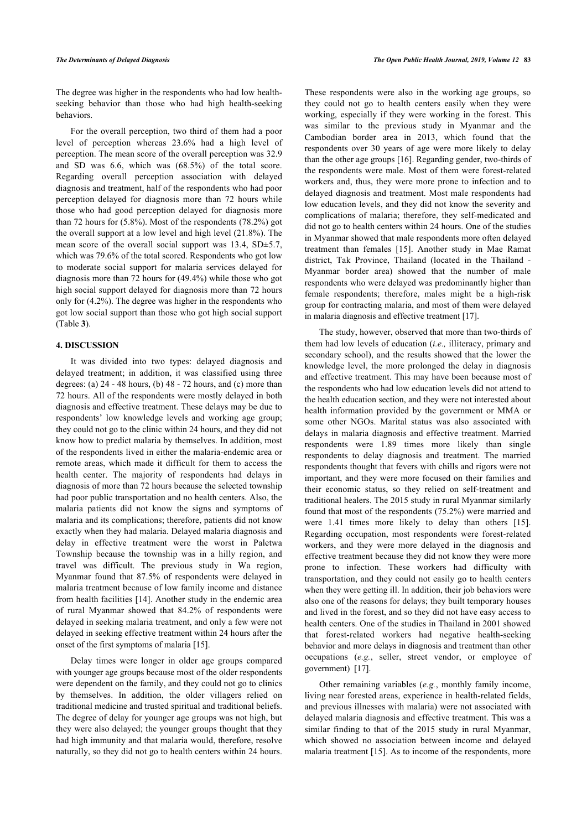The degree was higher in the respondents who had low healthseeking behavior than those who had high health-seeking behaviors.

For the overall perception, two third of them had a poor level of perception whereas 23.6% had a high level of perception. The mean score of the overall perception was 32.9 and SD was 6.6, which was (68.5%) of the total score. Regarding overall perception association with delayed diagnosis and treatment, half of the respondents who had poor perception delayed for diagnosis more than 72 hours while those who had good perception delayed for diagnosis more than 72 hours for  $(5.8\%)$ . Most of the respondents  $(78.2\%)$  got the overall support at a low level and high level (21.8%). The mean score of the overall social support was 13.4, SD $\pm$ 5.7, which was 79.6% of the total scored. Respondents who got low to moderate social support for malaria services delayed for diagnosis more than 72 hours for (49.4%) while those who got high social support delayed for diagnosis more than 72 hours only for (4.2%). The degree was higher in the respondents who got low social support than those who got high social support (Table **[3](#page-2-0)**).

# **4. DISCUSSION**

It was divided into two types: delayed diagnosis and delayed treatment; in addition, it was classified using three degrees: (a)  $24 - 48$  hours, (b)  $48 - 72$  hours, and (c) more than 72 hours. All of the respondents were mostly delayed in both diagnosis and effective treatment. These delays may be due to respondents' low knowledge levels and working age group; they could not go to the clinic within 24 hours, and they did not know how to predict malaria by themselves. In addition, most of the respondents lived in either the malaria-endemic area or remote areas, which made it difficult for them to access the health center. The majority of respondents had delays in diagnosis of more than 72 hours because the selected township had poor public transportation and no health centers. Also, the malaria patients did not know the signs and symptoms of malaria and its complications; therefore, patients did not know exactly when they had malaria. Delayed malaria diagnosis and delay in effective treatment were the worst in Paletwa Township because the township was in a hilly region, and travel was difficult. The previous study in Wa region, Myanmar found that 87.5% of respondents were delayed in malaria treatment because of low family income and distance from health facilities [\[14\]](#page-7-13). Another study in the endemic area of rural Myanmar showed that 84.2% of respondents were delayed in seeking malaria treatment, and only a few were not delayed in seeking effective treatment within 24 hours after the onset of the first symptoms of malaria [[15\]](#page-7-14).

Delay times were longer in older age groups compared with younger age groups because most of the older respondents were dependent on the family, and they could not go to clinics by themselves. In addition, the older villagers relied on traditional medicine and trusted spiritual and traditional beliefs. The degree of delay for younger age groups was not high, but they were also delayed; the younger groups thought that they had high immunity and that malaria would, therefore, resolve naturally, so they did not go to health centers within 24 hours.

These respondents were also in the working age groups, so they could not go to health centers easily when they were working, especially if they were working in the forest. This was similar to the previous study in Myanmar and the Cambodian border area in 2013, which found that the respondents over 30 years of age were more likely to delay than the other age groups [[16\]](#page-7-15). Regarding gender, two-thirds of the respondents were male. Most of them were forest-related workers and, thus, they were more prone to infection and to delayed diagnosis and treatment. Most male respondents had low education levels, and they did not know the severity and complications of malaria; therefore, they self-medicated and did not go to health centers within 24 hours. One of the studies in Myanmar showed that male respondents more often delayed treatment than females[[15\]](#page-7-14). Another study in Mae Ramat district, Tak Province, Thailand (located in the Thailand - Myanmar border area) showed that the number of male respondents who were delayed was predominantly higher than female respondents; therefore, males might be a high-risk group for contracting malaria, and most of them were delayed in malaria diagnosis and effective treatment [[17\]](#page-7-16).

The study, however, observed that more than two-thirds of them had low levels of education (*i.e.,* illiteracy, primary and secondary school), and the results showed that the lower the knowledge level, the more prolonged the delay in diagnosis and effective treatment. This may have been because most of the respondents who had low education levels did not attend to the health education section, and they were not interested about health information provided by the government or MMA or some other NGOs. Marital status was also associated with delays in malaria diagnosis and effective treatment. Married respondents were 1.89 times more likely than single respondents to delay diagnosis and treatment. The married respondents thought that fevers with chills and rigors were not important, and they were more focused on their families and their economic status, so they relied on self-treatment and traditional healers. The 2015 study in rural Myanmar similarly found that most of the respondents (75.2%) were married and were 1.41 times more likely to delay than others[[15](#page-7-14)]. Regarding occupation, most respondents were forest-related workers, and they were more delayed in the diagnosis and effective treatment because they did not know they were more prone to infection. These workers had difficulty with transportation, and they could not easily go to health centers when they were getting ill. In addition, their job behaviors were also one of the reasons for delays; they built temporary houses and lived in the forest, and so they did not have easy access to health centers. One of the studies in Thailand in 2001 showed that forest-related workers had negative health-seeking behavior and more delays in diagnosis and treatment than other occupations (*e.g.*, seller, street vendor, or employee of government) [\[17](#page-7-16)].

Other remaining variables (*e.g.*, monthly family income, living near forested areas, experience in health-related fields, and previous illnesses with malaria) were not associated with delayed malaria diagnosis and effective treatment. This was a similar finding to that of the 2015 study in rural Myanmar, which showed no association between income and delayed malaria treatment [[15](#page-7-14)]. As to income of the respondents, more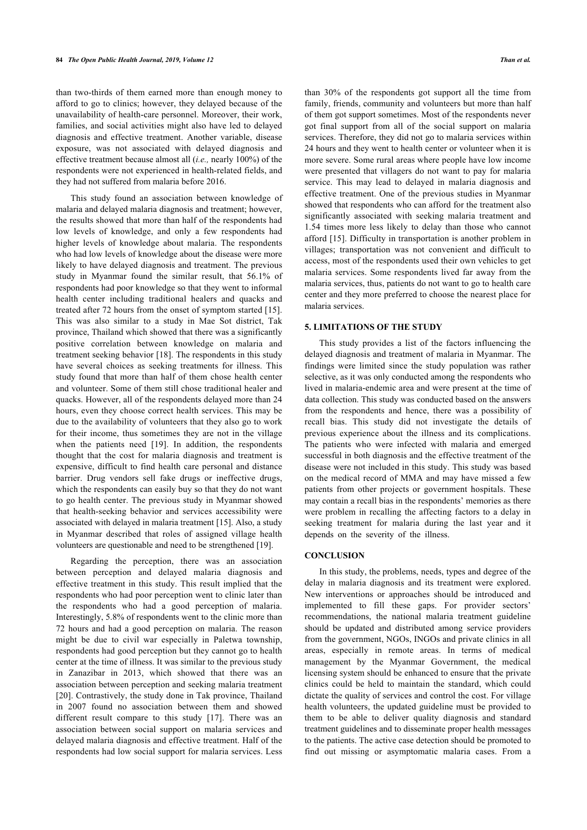than two-thirds of them earned more than enough money to afford to go to clinics; however, they delayed because of the unavailability of health-care personnel. Moreover, their work, families, and social activities might also have led to delayed diagnosis and effective treatment. Another variable, disease exposure, was not associated with delayed diagnosis and effective treatment because almost all (*i.e.,* nearly 100%) of the respondents were not experienced in health-related fields, and they had not suffered from malaria before 2016.

This study found an association between knowledge of malaria and delayed malaria diagnosis and treatment; however, the results showed that more than half of the respondents had low levels of knowledge, and only a few respondents had higher levels of knowledge about malaria. The respondents who had low levels of knowledge about the disease were more likely to have delayed diagnosis and treatment. The previous study in Myanmar found the similar result, that 56.1% of respondents had poor knowledge so that they went to informal health center including traditional healers and quacks and treated after 72 hours from the onset of symptom started [[15\]](#page-7-14). This was also similar to a study in Mae Sot district, Tak province, Thailand which showed that there was a significantly positive correlation between knowledge on malaria and treatment seeking behavior [[18\]](#page-7-17). The respondents in this study have several choices as seeking treatments for illness. This study found that more than half of them chose health center and volunteer. Some of them still chose traditional healer and quacks. However, all of the respondents delayed more than 24 hours, even they choose correct health services. This may be due to the availability of volunteers that they also go to work for their income, thus sometimes they are not in the village when the patients need[[19\]](#page-7-18). In addition, the respondents thought that the cost for malaria diagnosis and treatment is expensive, difficult to find health care personal and distance barrier. Drug vendors sell fake drugs or ineffective drugs, which the respondents can easily buy so that they do not want to go health center. The previous study in Myanmar showed that health-seeking behavior and services accessibility were associated with delayed in malaria treatment [\[15](#page-7-14)]. Also, a study in Myanmar described that roles of assigned village health volunteers are questionable and need to be strengthened [\[19](#page-7-18)].

Regarding the perception, there was an association between perception and delayed malaria diagnosis and effective treatment in this study. This result implied that the respondents who had poor perception went to clinic later than the respondents who had a good perception of malaria. Interestingly, 5.8% of respondents went to the clinic more than 72 hours and had a good perception on malaria. The reason might be due to civil war especially in Paletwa township, respondents had good perception but they cannot go to health center at the time of illness. It was similar to the previous study in Zanazibar in 2013, which showed that there was an association between perception and seeking malaria treatment [[20\]](#page-7-19). Contrastively, the study done in Tak province, Thailand in 2007 found no association between them and showed different result compare to this study[[17](#page-7-16)]. There was an association between social support on malaria services and delayed malaria diagnosis and effective treatment. Half of the respondents had low social support for malaria services. Less

than 30% of the respondents got support all the time from family, friends, community and volunteers but more than half of them got support sometimes. Most of the respondents never got final support from all of the social support on malaria services. Therefore, they did not go to malaria services within 24 hours and they went to health center or volunteer when it is more severe. Some rural areas where people have low income were presented that villagers do not want to pay for malaria service. This may lead to delayed in malaria diagnosis and effective treatment. One of the previous studies in Myanmar showed that respondents who can afford for the treatment also significantly associated with seeking malaria treatment and 1.54 times more less likely to delay than those who cannot afford [\[15\]](#page-7-14). Difficulty in transportation is another problem in villages; transportation was not convenient and difficult to access, most of the respondents used their own vehicles to get malaria services. Some respondents lived far away from the malaria services, thus, patients do not want to go to health care center and they more preferred to choose the nearest place for malaria services.

# **5. LIMITATIONS OF THE STUDY**

This study provides a list of the factors influencing the delayed diagnosis and treatment of malaria in Myanmar. The findings were limited since the study population was rather selective, as it was only conducted among the respondents who lived in malaria-endemic area and were present at the time of data collection. This study was conducted based on the answers from the respondents and hence, there was a possibility of recall bias. This study did not investigate the details of previous experience about the illness and its complications. The patients who were infected with malaria and emerged successful in both diagnosis and the effective treatment of the disease were not included in this study. This study was based on the medical record of MMA and may have missed a few patients from other projects or government hospitals. These may contain a recall bias in the respondents' memories as there were problem in recalling the affecting factors to a delay in seeking treatment for malaria during the last year and it depends on the severity of the illness.

# **CONCLUSION**

In this study, the problems, needs, types and degree of the delay in malaria diagnosis and its treatment were explored. New interventions or approaches should be introduced and implemented to fill these gaps. For provider sectors' recommendations, the national malaria treatment guideline should be updated and distributed among service providers from the government, NGOs, INGOs and private clinics in all areas, especially in remote areas. In terms of medical management by the Myanmar Government, the medical licensing system should be enhanced to ensure that the private clinics could be held to maintain the standard, which could dictate the quality of services and control the cost. For village health volunteers, the updated guideline must be provided to them to be able to deliver quality diagnosis and standard treatment guidelines and to disseminate proper health messages to the patients. The active case detection should be promoted to find out missing or asymptomatic malaria cases. From a